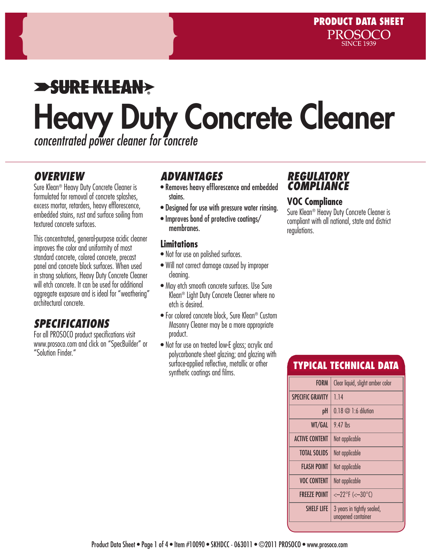# $\blacktriangleright$ SUREKLEAN $\blacktriangleright$ Heavy Duty Concrete Cleaner *concentrated power cleaner for concrete*

#### *OVERVIEW*

Sure Klean® Heavy Duty Concrete Cleaner is formulated for removal of concrete splashes, excess mortar, retarders, heavy efflorescence, embedded stains, rust and surface soiling from textured concrete surfaces.

This concentrated, general-purpose acidic cleaner improves the color and uniformity of most standard concrete, colored concrete, precast panel and concrete block surfaces. When used in strong solutions, Heavy Duty Concrete Cleaner will etch concrete. It can be used for additional aggregate exposure and is ideal for "weathering" architectural concrete.

### *SPECIFICATIONS*

For all PROSOCO product specifications visit www.prosoco.com and click on "SpecBuilder" or "Solution Finder."

#### *ADVANTAGES*

- Removes heavy efflorescence and embedded stains.
- Designed for use with pressure water rinsing.
- Improves bond of protective coatings/ membranes.

#### **Limitations**

- Not for use on polished surfaces.
- Will not correct damage caused by improper cleaning.
- May etch smooth concrete surfaces. Use Sure Klean® Light Duty Concrete Cleaner where no etch is desired.
- For colored concrete block, Sure Klean® Custom Masonry Cleaner may be a more appropriate product.
- Not for use on treated low-E alass: acrylic and polycarbonate sheet glazing; and glazing with surface-applied reflective, metallic or other synthetic coatings and films.

#### *REGULATORY COMPLIANCE*

#### **VOC Compliance**

Sure Klean® Heavy Duty Concrete Cleaner is compliant with all national, state and district regulations.

#### TYPICAL TECHNICAL DATA

| <b>FORM</b>             | Clear liquid, slight amber color                 |  |  |
|-------------------------|--------------------------------------------------|--|--|
|                         |                                                  |  |  |
| <b>SPECIFIC GRAVITY</b> | 1.14                                             |  |  |
| рH                      | $0.18 \oslash 1:6$ dilution                      |  |  |
| WT/GAL                  | $9.47$ lhs                                       |  |  |
| <b>ACTIVE CONTENT</b>   | Not applicable                                   |  |  |
| <b>TOTAL SOLIDS</b>     | Not applicable                                   |  |  |
| <b>FLASH POINT</b>      | Not applicable                                   |  |  |
| <b>VOC CONTENT</b>      | Not applicable                                   |  |  |
| <b>FREEZE POINT</b>     | $<-22^{\circ}F$ (< $-30^{\circ}C$ )              |  |  |
| <b>SHELF LIFF</b>       | 3 years in tightly sealed,<br>unopened container |  |  |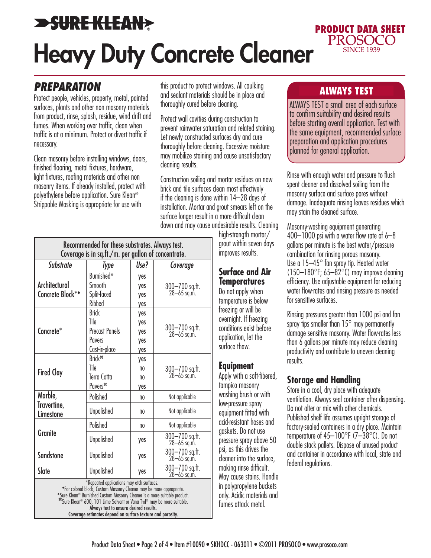# **>SURE KLEAN> PRODUCT DATA SHEET<br>PROSOCO** Heavy Duty Concrete Cleaner

#### *PREPARATION*

Protect people, vehicles, property, metal, painted surfaces, plants and other non masonry materials from product, rinse, splash, residue, wind drift and fumes. When working over traffic, clean when traffic is at a minimum. Protect or divert traffic if necessary.

Clean masonry before installing windows, doors, finished flooring, metal fixtures, hardware, light fixtures, roofing materials and other non masonry items. If already installed, protect with polyethylene before application. Sure Klean® Strippable Masking is appropriate for use with

this product to protect windows. All caulking<br>and socient metasicle should be in place and and sealant materials should be in place and thoroughly cured before cleaning.

Protect wall cavities during construction to prevent rainwater saturation and related staining. Let newly constructed surfaces dry and cure thoroughly before cleaning. Excessive moisture may mobilize staining and cause unsatisfactory cleaning results.

Construction soiling and mortar residues on new brick and tile surfaces clean most effectively if the cleaning is done within 14–28 days of installation. Mortar and grout smears left on the surface longer result in a more difficult clean down and may cause undesirable results. Cleaning

| Recommended for these substrates. Always test.<br>Coverage is in sq.ft./m. per gallon of concentrate.                                                                                                                                                                                                                                                                                         |                                                                          |                                    |                               |  |
|-----------------------------------------------------------------------------------------------------------------------------------------------------------------------------------------------------------------------------------------------------------------------------------------------------------------------------------------------------------------------------------------------|--------------------------------------------------------------------------|------------------------------------|-------------------------------|--|
| Substrate                                                                                                                                                                                                                                                                                                                                                                                     | Type                                                                     | Use?                               | Coverage                      |  |
| Architectural<br>Concrete Block**                                                                                                                                                                                                                                                                                                                                                             | Burnished*<br>Smooth<br>Split-faced<br>Ribbed                            | yes<br>yes<br>yes<br>yes           | 300-700 sq.ft.<br>28-65 sq.m. |  |
| Concrete*                                                                                                                                                                                                                                                                                                                                                                                     | <b>Brick</b><br>Tile<br><b>Precast Panels</b><br>Pavers<br>Cast-in-place | yes<br>yes<br>yes<br>yes<br>yes    | 300-700 sq.ft.<br>28-65 sq.m. |  |
| <b>Fired Clay</b>                                                                                                                                                                                                                                                                                                                                                                             | Brick <sup>#</sup><br>Tile<br><b>Terra Cotta</b><br>Pavers <sup>#</sup>  | yes<br>no<br>n <sub>0</sub><br>yes | 300-700 sq.ft.<br>28-65 sq.m. |  |
| Marble,<br>Travertine,<br>Limestone                                                                                                                                                                                                                                                                                                                                                           | Polished                                                                 | no                                 | Not applicable                |  |
|                                                                                                                                                                                                                                                                                                                                                                                               | <b>Unpolished</b>                                                        | no                                 | Not applicable                |  |
| <b>Granite</b>                                                                                                                                                                                                                                                                                                                                                                                | Polished                                                                 | no                                 | Not applicable                |  |
|                                                                                                                                                                                                                                                                                                                                                                                               | <b>Unpolished</b>                                                        | yes                                | 300-700 sq.ft.<br>28-65 sq.m. |  |
| <b>Sandstone</b>                                                                                                                                                                                                                                                                                                                                                                              | Unpolished                                                               | yes                                | 300-700 sq.ft.<br>28-65 sq.m. |  |
| Slate                                                                                                                                                                                                                                                                                                                                                                                         | <b>Unpolished</b>                                                        | yes                                | 300-700 sq.ft.<br>28-65 sq.m. |  |
| *Repeated applications may etch surfaces.<br>*For colored block, Custom Masonry Cleaner may be more appropriate.<br>*Sure Klean® Burnished Custom Masonry Cleaner is a more suitable product.<br><sup>378</sup> Sure Klean® 600, 101 Lime Solvent or Vana Trol® may be more suitable.<br>Always test to ensure desired results.<br>Coverage estimates depend on surface texture and porosity. |                                                                          |                                    |                               |  |

high-strength mortar/ grout within seven days improves results.

#### **Surface and Air Temperatures**

Do not apply when temperature is below freezing or will be overnight. If freezing conditions exist before application, let the surface thaw.

#### **Equipment**

Apply with a soft-fibered, tampico masonry washing brush or with low-pressure spray equipment fitted with acid-resistant hoses and gaskets. Do not use pressure spray above 50 psi, as this drives the cleaner into the surface, making rinse difficult. May cause stains. Handle in polypropylene buckets only. Acidic materials and fumes attack metal.

**SINCE 1939** 

ALWAYS TEST a small area of each surface to confirm suitability and desired results before starting overall application. Test with the same equipment, recommended surface preparation and application procedures planned for general application.

Rinse with enough water and pressure to flush spent cleaner and dissolved soiling from the masonry surface and surface pores without damage. Inadequate rinsing leaves residues which may stain the cleaned surface.

Masonry-washing equipment generating 400–1000 psi with a water flow rate of 6–8 gallons per minute is the best water/pressure combination for rinsing porous masonry. Use a 15–45° fan spray tip. Heated water  $(150-180^{\circ}$ F; 65–82 $^{\circ}$ C) may improve cleaning efficiency. Use adjustable equipment for reducing water flow-rates and rinsing pressure as needed for sensitive surfaces.

Rinsing pressures greater than 1000 psi and fan spray tips smaller than  $15^{\circ}$  may permanently damage sensitive masonry. Water flow-rates less than 6 gallons per minute may reduce cleaning productivity and contribute to uneven cleaning results.

#### **Storage and Handling**

Store in a cool, dry place with adequate ventilation. Always seal container after dispensing. Do not alter or mix with other chemicals. Published shelf life assumes upright storage of factory-sealed containers in a dry place. Maintain temperature of 45–100°F (7–38°C). Do not double stack pallets. Dispose of unused product and container in accordance with local, state and federal regulations.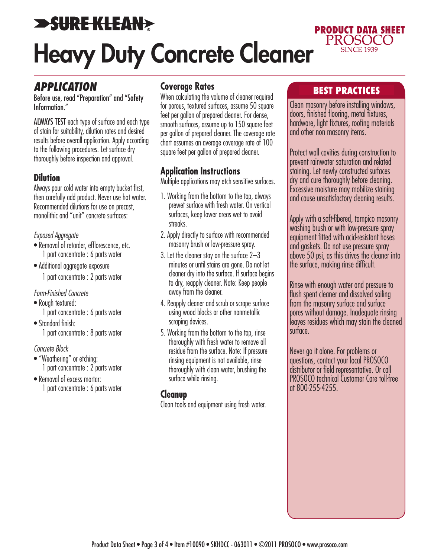# **>SURE KLEAN>** Heavy Duty Concrete Cleaner

#### *APPLICATION*

Before use, read "Preparation" and "Safety Information."

ALWAYS TEST each type of surface and each type of stain for suitability, dilution rates and desired results before overall application. Apply according to the following procedures. Let surface dry thoroughly before inspection and approval.

#### **Dilution**

Always pour cold water into empty bucket first, then carefully add product. Never use hot water. Recommended dilutions for use on precast, monolithic and "unit" concrete surfaces:

#### *Exposed Aggregate*

- Removal of retarder, efflorescence, etc. 1 part concentrate : 6 parts water
- Additional aggregate exposure

1 part concentrate : 2 parts water

#### *Form-Finished Concrete*

- Rough textured: 1 part concentrate : 6 parts water
- Standard finish: 1 part concentrate : 8 parts water

#### *Concrete Block*

- "Weathering" or etching: 1 part concentrate : 2 parts water
- Removal of excess mortar: 1 part concentrate : 6 parts water

#### **Coverage Rates**

When calculating the volume of cleaner required for porous, textured surfaces, assume 50 square feet per gallon of prepared cleaner. For dense, smooth surfaces, assume up to 150 square feet per gallon of prepared cleaner. The coverage rate chart assumes an average coverage rate of 100 square feet per gallon of prepared cleaner.

#### **Application Instructions**

Multiple applications may etch sensitive surfaces.

- 1. Working from the bottom to the top, always prewet surface with fresh water. On vertical surfaces, keep lower areas wet to avoid streaks.
- 2. Apply directly to surface with recommended masonry brush or low-pressure spray.
- 3. Let the cleaner stay on the surface 2–3 minutes or until stains are gone. Do not let cleaner dry into the surface. If surface begins to dry, reapply cleaner. Note: Keep people away from the cleaner.
- 4. Reapply cleaner and scrub or scrape surface using wood blocks or other nonmetallic scraping devices.
- 5. Working from the bottom to the top, rinse thoroughly with fresh water to remove all residue from the surface. Note: If pressure rinsing equipment is not available, rinse thoroughly with clean water, brushing the surface while rinsing.

#### **Cleanup**

Clean tools and equipment using fresh water.

#### BEST PRACTICES

**PRODUCT DATA SHEET<br>PROSOCO** 

**SINCE 1939** 

Clean masonry before installing windows, doors, finished flooring, metal fixtures, hardware, light fixtures, roofing materials and other non masonry items.

Protect wall cavities during construction to prevent rainwater saturation and related staining. Let newly constructed surfaces dry and cure thoroughly before cleaning. Excessive moisture may mobilize staining and cause unsatisfactory cleaning results.

Apply with a soft-fibered, tampico masonry washing brush or with low-pressure spray equipment fitted with acid-resistant hoses and gaskets. Do not use pressure spray above 50 psi, as this drives the cleaner into the surface, making rinse difficult.

Rinse with enough water and pressure to flush spent cleaner and dissolved soiling from the masonry surface and surface pores without damage. Inadequate rinsing leaves residues which may stain the cleaned surface.

Never go it alone. For problems or questions, contact your local PROSOCO distributor or field representative. Or call PROSOCO technical Customer Care toll-free at 800-255-4255.